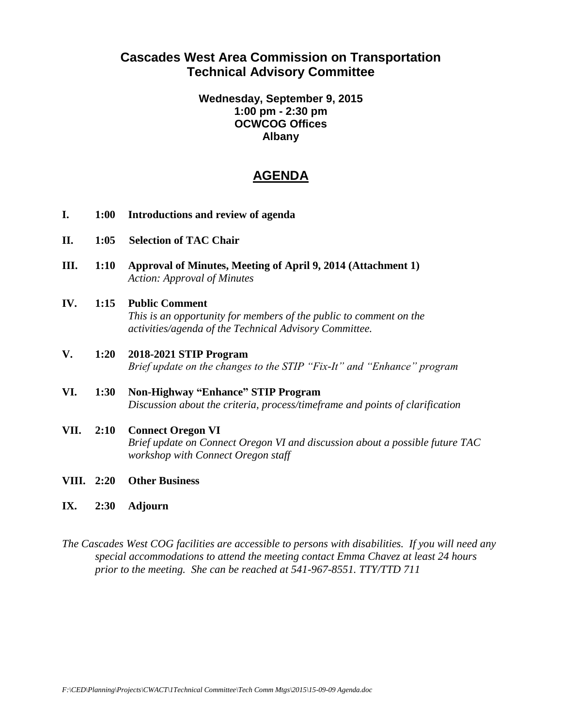# **Cascades West Area Commission on Transportation Technical Advisory Committee**

### **Wednesday, September 9, 2015 1:00 pm - 2:30 pm OCWCOG Offices Albany**

# **AGENDA**

- **I. 1:00 Introductions and review of agenda**
- **II. 1:05 Selection of TAC Chair**
- **III. 1:10 Approval of Minutes, Meeting of April 9, 2014 (Attachment 1)** *Action: Approval of Minutes*

#### **IV. 1:15 Public Comment**

*This is an opportunity for members of the public to comment on the activities/agenda of the Technical Advisory Committee.*

- **V. 1:20 2018-2021 STIP Program** *Brief update on the changes to the STIP "Fix-It" and "Enhance" program*
- **VI. 1:30 Non-Highway "Enhance" STIP Program** *Discussion about the criteria, process/timeframe and points of clarification*
- **VII. 2:10 Connect Oregon VI** *Brief update on Connect Oregon VI and discussion about a possible future TAC workshop with Connect Oregon staff*
- **VIII. 2:20 Other Business**
- **IX. 2:30 Adjourn**

*The Cascades West COG facilities are accessible to persons with disabilities. If you will need any special accommodations to attend the meeting contact Emma Chavez at least 24 hours prior to the meeting. She can be reached at 541-967-8551. TTY/TTD 711*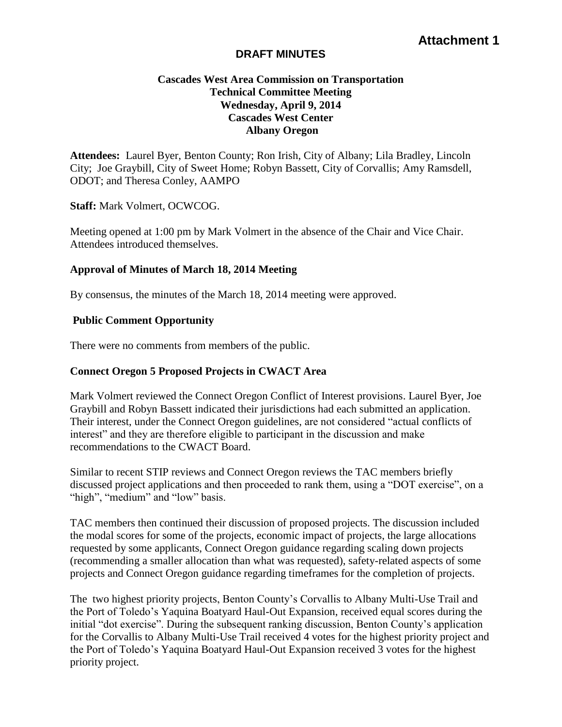# **Attachment 1**

#### **DRAFT MINUTES**

# **Cascades West Area Commission on Transportation Technical Committee Meeting Wednesday, April 9, 2014 Cascades West Center Albany Oregon**

**Attendees:** Laurel Byer, Benton County; Ron Irish, City of Albany; Lila Bradley, Lincoln City; Joe Graybill, City of Sweet Home; Robyn Bassett, City of Corvallis; Amy Ramsdell, ODOT; and Theresa Conley, AAMPO

**Staff:** Mark Volmert, OCWCOG.

Meeting opened at 1:00 pm by Mark Volmert in the absence of the Chair and Vice Chair. Attendees introduced themselves.

### **Approval of Minutes of March 18, 2014 Meeting**

By consensus, the minutes of the March 18, 2014 meeting were approved.

### **Public Comment Opportunity**

There were no comments from members of the public.

### **Connect Oregon 5 Proposed Projects in CWACT Area**

Mark Volmert reviewed the Connect Oregon Conflict of Interest provisions. Laurel Byer, Joe Graybill and Robyn Bassett indicated their jurisdictions had each submitted an application. Their interest, under the Connect Oregon guidelines, are not considered "actual conflicts of interest" and they are therefore eligible to participant in the discussion and make recommendations to the CWACT Board.

Similar to recent STIP reviews and Connect Oregon reviews the TAC members briefly discussed project applications and then proceeded to rank them, using a "DOT exercise", on a "high", "medium" and "low" basis.

TAC members then continued their discussion of proposed projects. The discussion included the modal scores for some of the projects, economic impact of projects, the large allocations requested by some applicants, Connect Oregon guidance regarding scaling down projects (recommending a smaller allocation than what was requested), safety-related aspects of some projects and Connect Oregon guidance regarding timeframes for the completion of projects.

The two highest priority projects, Benton County's Corvallis to Albany Multi-Use Trail and the Port of Toledo's Yaquina Boatyard Haul-Out Expansion, received equal scores during the initial "dot exercise". During the subsequent ranking discussion, Benton County's application for the Corvallis to Albany Multi-Use Trail received 4 votes for the highest priority project and the Port of Toledo's Yaquina Boatyard Haul-Out Expansion received 3 votes for the highest priority project.